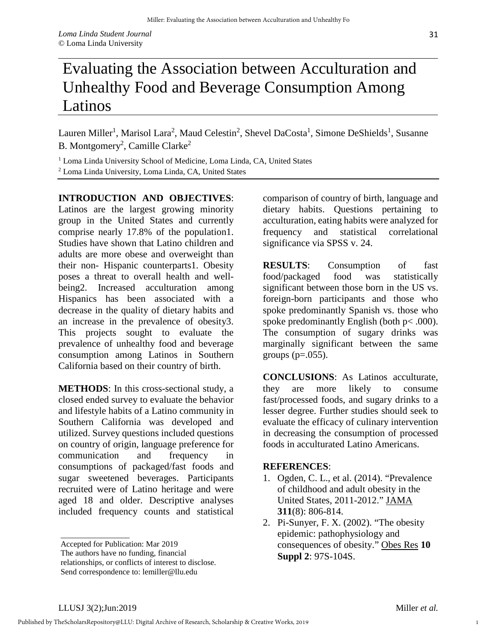Lauren Miller<sup>1</sup>, Marisol Lara<sup>2</sup>, Maud Celestin<sup>2</sup>, Shevel DaCosta<sup>1</sup>, Simone DeShields<sup>1</sup>, Susanne B. Montgomery<sup>2</sup>, Camille Clarke<sup>2</sup>

<sup>1</sup> Loma Linda University School of Medicine, Loma Linda, CA, United States <sup>2</sup> Loma Linda University, Loma Linda, CA, United States

## **INTRODUCTION AND OBJECTIVES**:

Latinos are the largest growing minority group in the United States and currently comprise nearly 17.8% of the population1. Studies have shown that Latino children and adults are more obese and overweight than their non- Hispanic counterparts1. Obesity poses a threat to overall health and wellbeing2. Increased acculturation among Hispanics has been associated with a decrease in the quality of dietary habits and an increase in the prevalence of obesity3. This projects sought to evaluate the prevalence of unhealthy food and beverage consumption among Latinos in Southern California based on their country of birth.

**METHODS**: In this cross-sectional study, a closed ended survey to evaluate the behavior and lifestyle habits of a Latino community in Southern California was developed and utilized. Survey questions included questions on country of origin, language preference for communication and frequency consumptions of packaged/fast foods and sugar sweetened beverages. Participants recruited were of Latino heritage and were aged 18 and older. Descriptive analyses included frequency counts and statistical

comparison of country of birth, language and dietary habits. Questions pertaining to acculturation, eating habits were analyzed for frequency and statistical correlational significance via SPSS v. 24.

**RESULTS**: Consumption of fast food/packaged food was statistically significant between those born in the US vs. foreign-born participants and those who spoke predominantly Spanish vs. those who spoke predominantly English (both  $p < .000$ ). The consumption of sugary drinks was marginally significant between the same groups  $(p=.055)$ .

**CONCLUSIONS**: As Latinos acculturate, they are more likely to consume fast/processed foods, and sugary drinks to a lesser degree. Further studies should seek to evaluate the efficacy of culinary intervention in decreasing the consumption of processed foods in acculturated Latino Americans.

## **REFERENCES**:

- 1. Ogden, C. L., et al. (2014). "Prevalence of childhood and adult obesity in the United States, 2011-2012." JAMA **311**(8): 806-814.
- 2. Pi-Sunyer, F. X. (2002). "The obesity epidemic: pathophysiology and consequences of obesity." Obes Res **10 Suppl 2**: 97S-104S.

\_\_\_\_\_\_\_\_\_\_\_\_\_\_\_\_\_

Accepted for Publication: Mar 2019

The authors have no funding, financial

relationships, or conflicts of interest to disclose. Send correspondence to: lemiller@llu.edu